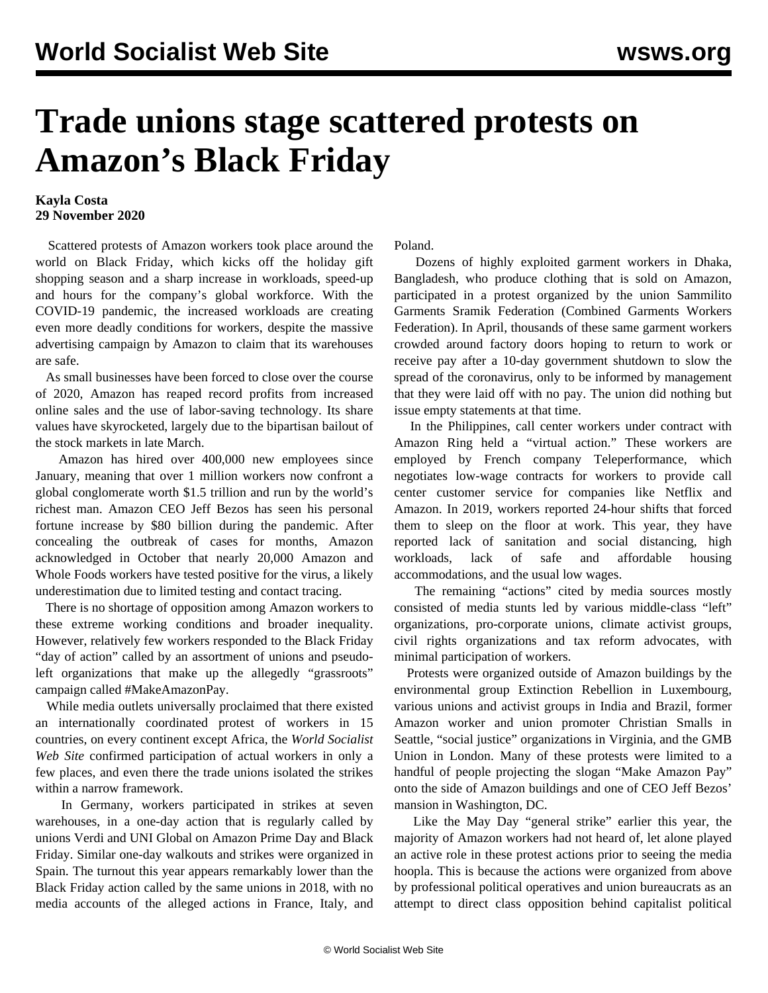## **Trade unions stage scattered protests on Amazon's Black Friday**

## **Kayla Costa 29 November 2020**

 Scattered protests of Amazon workers took place around the world on Black Friday, which kicks off the holiday gift shopping season and a sharp increase in workloads, speed-up and hours for the company's global workforce. With the COVID-19 pandemic, the increased workloads are creating even more deadly conditions for workers, despite the massive advertising campaign by Amazon to claim that its warehouses are safe.

 As small businesses have been forced to close over the course of 2020, Amazon has reaped record profits from increased online sales and the use of labor-saving technology. Its share values have skyrocketed, largely due to the bipartisan bailout of the stock markets in late March.

 Amazon has hired over 400,000 new employees since January, meaning that over 1 million workers now confront a global conglomerate worth \$1.5 trillion and run by the world's richest man. Amazon CEO Jeff Bezos has seen his personal fortune increase by \$80 billion during the pandemic. After concealing the outbreak of cases for months, Amazon [acknowledged](/en/articles/2020/10/03/amaz-o03.html) in October that nearly 20,000 Amazon and Whole Foods workers have tested positive for the virus, a likely underestimation due to limited testing and contact tracing.

 There is no shortage of opposition among Amazon workers to these extreme working conditions and broader inequality. However, relatively few workers responded to the Black Friday "day of action" called by an assortment of unions and pseudoleft organizations that make up the allegedly "grassroots" campaign called #MakeAmazonPay.

 While media outlets universally proclaimed that there existed an internationally coordinated protest of workers in 15 countries, on every continent except Africa, the *World Socialist Web Site* confirmed participation of actual workers in only a few places, and even there the trade unions isolated the strikes within a narrow framework.

 In Germany, workers participated in strikes at seven warehouses, in a one-day action that is regularly called by unions Verdi and UNI Global on Amazon Prime Day and Black Friday. Similar one-day walkouts and strikes were organized in Spain. The turnout this year appears remarkably lower than the [Black Friday action](/en/articles/2018/11/24/amaz-n24.html) called by the same unions in 2018, with no media accounts of the alleged actions in France, Italy, and Poland.

 Dozens of highly exploited garment workers in Dhaka, Bangladesh, who produce clothing that is sold on Amazon, participated in a protest organized by the union Sammilito Garments Sramik Federation (Combined Garments Workers Federation). In April, thousands of these same garment workers crowded around factory doors hoping to return to work or receive pay after a 10-day government shutdown to slow the spread of the coronavirus, only to be informed by management that they were laid off with no pay. The union did nothing but issue empty statements at that time.

 In the Philippines, call center workers under contract with Amazon Ring held a "virtual action." These workers are employed by French company Teleperformance, which negotiates low-wage contracts for workers to provide call center customer service for companies like Netflix and Amazon. In 2019, workers reported 24-hour shifts that forced them to sleep on the floor at work. This year, they have reported lack of sanitation and social distancing, high workloads, lack of safe and affordable housing accommodations, and the usual low wages.

 The remaining "actions" cited by media sources mostly consisted of media stunts led by various middle-class "left" organizations, pro-corporate unions, climate activist groups, civil rights organizations and tax reform advocates, with minimal participation of workers.

 Protests were organized outside of Amazon buildings by the environmental group [Extinction Rebellion](/en/articles/2019/03/14/clim-m14.html) in Luxembourg, various unions and activist groups in India and Brazil, former Amazon worker and union promoter Christian Smalls in Seattle, "social justice" organizations in Virginia, and the GMB Union in London. Many of these protests were limited to a handful of people projecting the slogan "Make Amazon Pay" onto the side of Amazon buildings and one of CEO Jeff Bezos' mansion in Washington, DC.

 Like the [May Day "general strike"](/en/articles/2020/05/02/amzn-m02.html) earlier this year, the majority of Amazon workers had not heard of, let alone played an active role in these protest actions prior to seeing the media hoopla. This is because the actions were organized from above by professional political operatives and union bureaucrats as an attempt to direct class opposition behind capitalist political